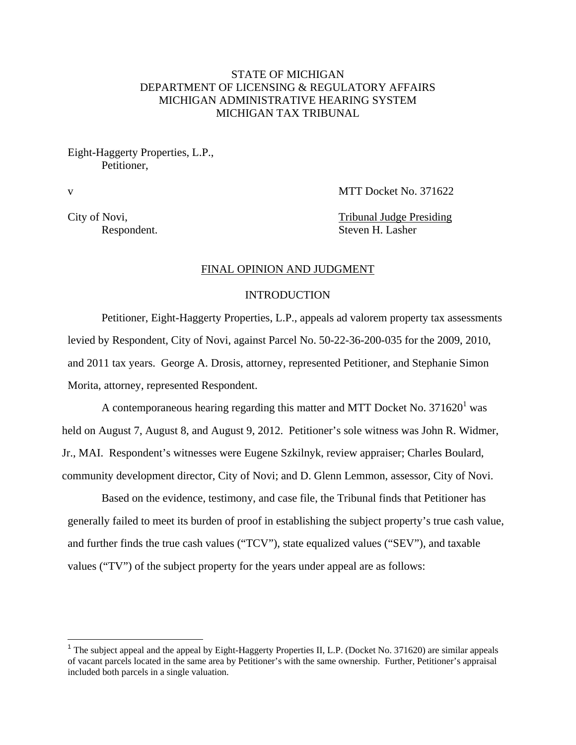# STATE OF MICHIGAN DEPARTMENT OF LICENSING & REGULATORY AFFAIRS MICHIGAN ADMINISTRATIVE HEARING SYSTEM MICHIGAN TAX TRIBUNAL

Eight-Haggerty Properties, L.P., Petitioner,

1

v MTT Docket No. 371622

City of Novi, Tribunal Judge Presiding Respondent. Steven H. Lasher

## FINAL OPINION AND JUDGMENT

# INTRODUCTION

Petitioner, Eight-Haggerty Properties, L.P., appeals ad valorem property tax assessments levied by Respondent, City of Novi, against Parcel No. 50-22-36-200-035 for the 2009, 2010, and 2011 tax years. George A. Drosis, attorney, represented Petitioner, and Stephanie Simon Morita, attorney, represented Respondent.

A contemporaneous hearing regarding this matter and MTT Docket No. 371620<sup>1</sup> was held on August 7, August 8, and August 9, 2012. Petitioner's sole witness was John R. Widmer, Jr., MAI. Respondent's witnesses were Eugene Szkilnyk, review appraiser; Charles Boulard, community development director, City of Novi; and D. Glenn Lemmon, assessor, City of Novi.

 Based on the evidence, testimony, and case file, the Tribunal finds that Petitioner has generally failed to meet its burden of proof in establishing the subject property's true cash value, and further finds the true cash values ("TCV"), state equalized values ("SEV"), and taxable values ("TV") of the subject property for the years under appeal are as follows:

<sup>&</sup>lt;sup>1</sup> The subject appeal and the appeal by Eight-Haggerty Properties II, L.P. (Docket No. 371620) are similar appeals of vacant parcels located in the same area by Petitioner's with the same ownership. Further, Petitioner's appraisal included both parcels in a single valuation.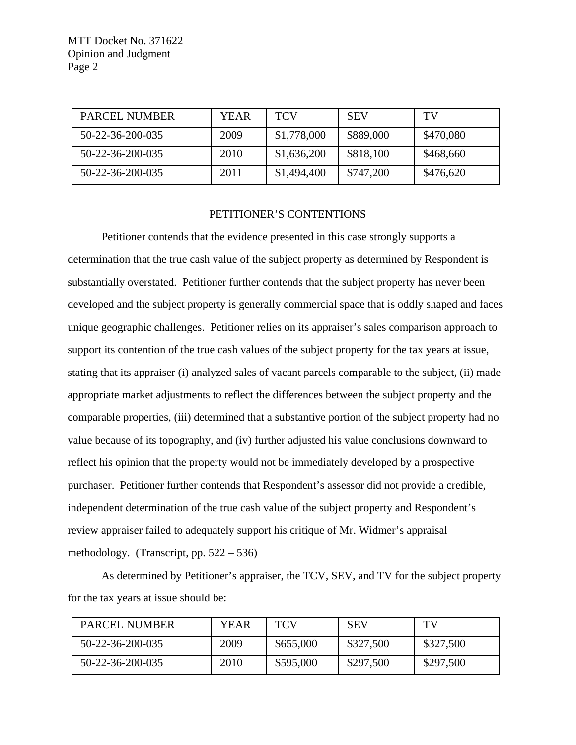| <b>PARCEL NUMBER</b> | <b>YEAR</b> | <b>TCV</b>  | <b>SEV</b> | TV        |
|----------------------|-------------|-------------|------------|-----------|
| 50-22-36-200-035     | 2009        | \$1,778,000 | \$889,000  | \$470,080 |
| 50-22-36-200-035     | 2010        | \$1,636,200 | \$818,100  | \$468,660 |
| 50-22-36-200-035     | 2011        | \$1,494,400 | \$747,200  | \$476,620 |

#### PETITIONER'S CONTENTIONS

Petitioner contends that the evidence presented in this case strongly supports a determination that the true cash value of the subject property as determined by Respondent is substantially overstated. Petitioner further contends that the subject property has never been developed and the subject property is generally commercial space that is oddly shaped and faces unique geographic challenges. Petitioner relies on its appraiser's sales comparison approach to support its contention of the true cash values of the subject property for the tax years at issue, stating that its appraiser (i) analyzed sales of vacant parcels comparable to the subject, (ii) made appropriate market adjustments to reflect the differences between the subject property and the comparable properties, (iii) determined that a substantive portion of the subject property had no value because of its topography, and (iv) further adjusted his value conclusions downward to reflect his opinion that the property would not be immediately developed by a prospective purchaser. Petitioner further contends that Respondent's assessor did not provide a credible, independent determination of the true cash value of the subject property and Respondent's review appraiser failed to adequately support his critique of Mr. Widmer's appraisal methodology. (Transcript, pp. 522 – 536)

As determined by Petitioner's appraiser, the TCV, SEV, and TV for the subject property for the tax years at issue should be:

| <b>PARCEL NUMBER</b> | YEAR | <b>TCV</b> | <b>SEV</b> | TV        |
|----------------------|------|------------|------------|-----------|
| 50-22-36-200-035     | 2009 | \$655,000  | \$327,500  | \$327,500 |
| 50-22-36-200-035     | 2010 | \$595,000  | \$297,500  | \$297,500 |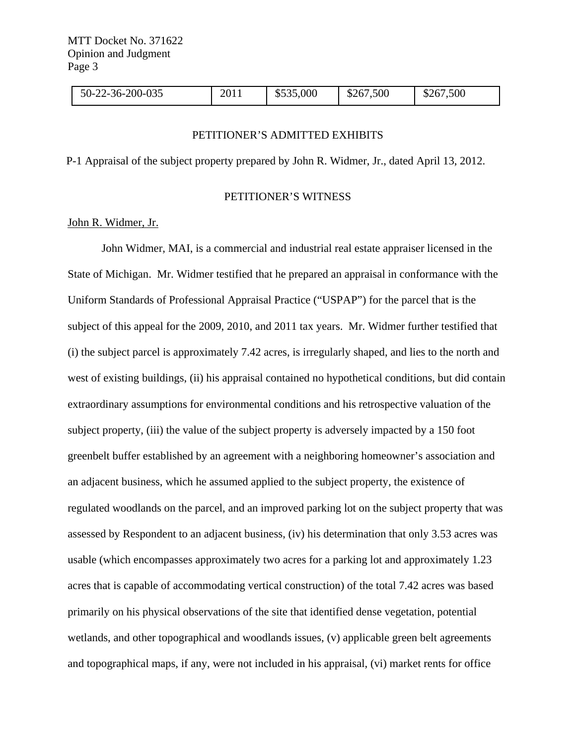| 50-22-36-200-035 | 2011 | \$535,000 | \$267,500 | \$267,500 |  |
|------------------|------|-----------|-----------|-----------|--|
|------------------|------|-----------|-----------|-----------|--|

## PETITIONER'S ADMITTED EXHIBITS

P-1 Appraisal of the subject property prepared by John R. Widmer, Jr., dated April 13, 2012.

## PETITIONER'S WITNESS

### John R. Widmer, Jr.

 John Widmer, MAI, is a commercial and industrial real estate appraiser licensed in the State of Michigan. Mr. Widmer testified that he prepared an appraisal in conformance with the Uniform Standards of Professional Appraisal Practice ("USPAP") for the parcel that is the subject of this appeal for the 2009, 2010, and 2011 tax years. Mr. Widmer further testified that (i) the subject parcel is approximately 7.42 acres, is irregularly shaped, and lies to the north and west of existing buildings, (ii) his appraisal contained no hypothetical conditions, but did contain extraordinary assumptions for environmental conditions and his retrospective valuation of the subject property, (iii) the value of the subject property is adversely impacted by a 150 foot greenbelt buffer established by an agreement with a neighboring homeowner's association and an adjacent business, which he assumed applied to the subject property, the existence of regulated woodlands on the parcel, and an improved parking lot on the subject property that was assessed by Respondent to an adjacent business, (iv) his determination that only 3.53 acres was usable (which encompasses approximately two acres for a parking lot and approximately 1.23 acres that is capable of accommodating vertical construction) of the total 7.42 acres was based primarily on his physical observations of the site that identified dense vegetation, potential wetlands, and other topographical and woodlands issues, (v) applicable green belt agreements and topographical maps, if any, were not included in his appraisal, (vi) market rents for office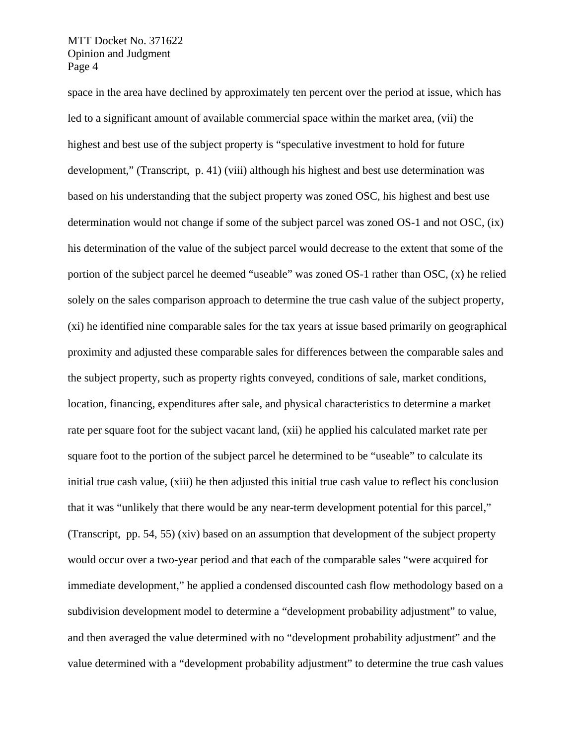space in the area have declined by approximately ten percent over the period at issue, which has led to a significant amount of available commercial space within the market area, (vii) the highest and best use of the subject property is "speculative investment to hold for future development," (Transcript, p. 41) (viii) although his highest and best use determination was based on his understanding that the subject property was zoned OSC, his highest and best use determination would not change if some of the subject parcel was zoned OS-1 and not OSC, (ix) his determination of the value of the subject parcel would decrease to the extent that some of the portion of the subject parcel he deemed "useable" was zoned OS-1 rather than OSC, (x) he relied solely on the sales comparison approach to determine the true cash value of the subject property, (xi) he identified nine comparable sales for the tax years at issue based primarily on geographical proximity and adjusted these comparable sales for differences between the comparable sales and the subject property, such as property rights conveyed, conditions of sale, market conditions, location, financing, expenditures after sale, and physical characteristics to determine a market rate per square foot for the subject vacant land, (xii) he applied his calculated market rate per square foot to the portion of the subject parcel he determined to be "useable" to calculate its initial true cash value, (xiii) he then adjusted this initial true cash value to reflect his conclusion that it was "unlikely that there would be any near-term development potential for this parcel," (Transcript, pp. 54, 55) (xiv) based on an assumption that development of the subject property would occur over a two-year period and that each of the comparable sales "were acquired for immediate development," he applied a condensed discounted cash flow methodology based on a subdivision development model to determine a "development probability adjustment" to value, and then averaged the value determined with no "development probability adjustment" and the value determined with a "development probability adjustment" to determine the true cash values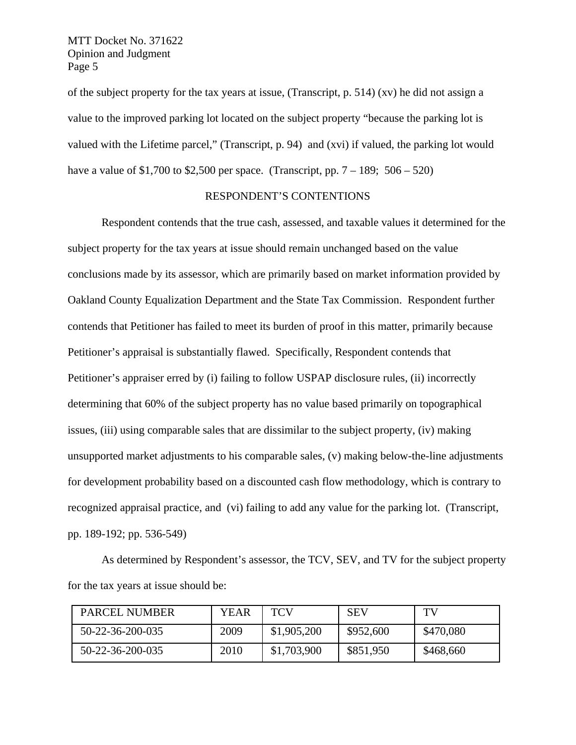of the subject property for the tax years at issue, (Transcript, p. 514) (xv) he did not assign a value to the improved parking lot located on the subject property "because the parking lot is valued with the Lifetime parcel," (Transcript, p. 94) and (xvi) if valued, the parking lot would have a value of \$1,700 to \$2,500 per space. (Transcript, pp.  $7 - 189$ ; 506 – 520)

# RESPONDENT'S CONTENTIONS

Respondent contends that the true cash, assessed, and taxable values it determined for the subject property for the tax years at issue should remain unchanged based on the value conclusions made by its assessor, which are primarily based on market information provided by Oakland County Equalization Department and the State Tax Commission. Respondent further contends that Petitioner has failed to meet its burden of proof in this matter, primarily because Petitioner's appraisal is substantially flawed. Specifically, Respondent contends that Petitioner's appraiser erred by (i) failing to follow USPAP disclosure rules, (ii) incorrectly determining that 60% of the subject property has no value based primarily on topographical issues, (iii) using comparable sales that are dissimilar to the subject property, (iv) making unsupported market adjustments to his comparable sales, (v) making below-the-line adjustments for development probability based on a discounted cash flow methodology, which is contrary to recognized appraisal practice, and (vi) failing to add any value for the parking lot. (Transcript, pp. 189-192; pp. 536-549)

As determined by Respondent's assessor, the TCV, SEV, and TV for the subject property for the tax years at issue should be:

| <b>PARCEL NUMBER</b> | YEAR | TCV         | <b>SEV</b> | TV        |
|----------------------|------|-------------|------------|-----------|
| 50-22-36-200-035     | 2009 | \$1,905,200 | \$952,600  | \$470,080 |
| 50-22-36-200-035     | 2010 | \$1,703,900 | \$851,950  | \$468,660 |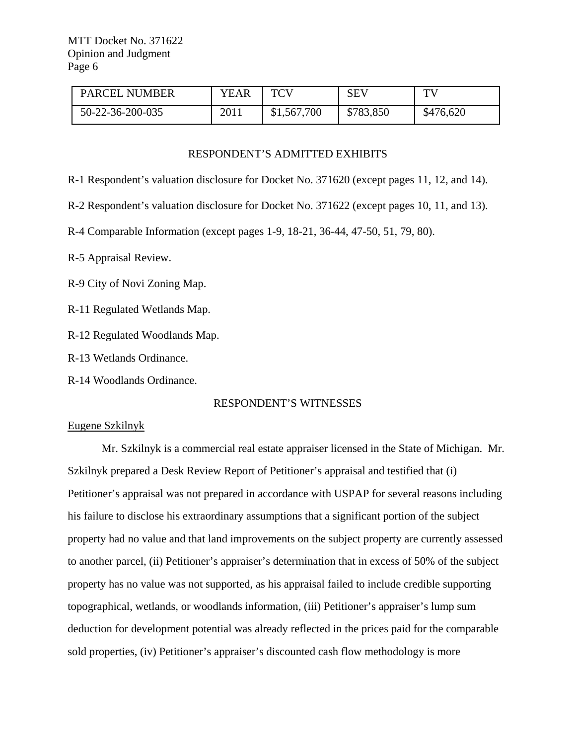| <b>PARCEL NUMBER</b> | <b>YEAR</b> | <b>TCV</b>  | <b>SEV</b> | TV.       |
|----------------------|-------------|-------------|------------|-----------|
| 50-22-36-200-035     | 2011        | \$1,567,700 | \$783,850  | \$476,620 |

## RESPONDENT'S ADMITTED EXHIBITS

R-1 Respondent's valuation disclosure for Docket No. 371620 (except pages 11, 12, and 14).

R-2 Respondent's valuation disclosure for Docket No. 371622 (except pages 10, 11, and 13).

R-4 Comparable Information (except pages 1-9, 18-21, 36-44, 47-50, 51, 79, 80).

R-5 Appraisal Review.

R-9 City of Novi Zoning Map.

R-11 Regulated Wetlands Map.

R-12 Regulated Woodlands Map.

R-13 Wetlands Ordinance.

R-14 Woodlands Ordinance.

# RESPONDENT'S WITNESSES

## Eugene Szkilnyk

 Mr. Szkilnyk is a commercial real estate appraiser licensed in the State of Michigan. Mr. Szkilnyk prepared a Desk Review Report of Petitioner's appraisal and testified that (i) Petitioner's appraisal was not prepared in accordance with USPAP for several reasons including his failure to disclose his extraordinary assumptions that a significant portion of the subject property had no value and that land improvements on the subject property are currently assessed to another parcel, (ii) Petitioner's appraiser's determination that in excess of 50% of the subject property has no value was not supported, as his appraisal failed to include credible supporting topographical, wetlands, or woodlands information, (iii) Petitioner's appraiser's lump sum deduction for development potential was already reflected in the prices paid for the comparable sold properties, (iv) Petitioner's appraiser's discounted cash flow methodology is more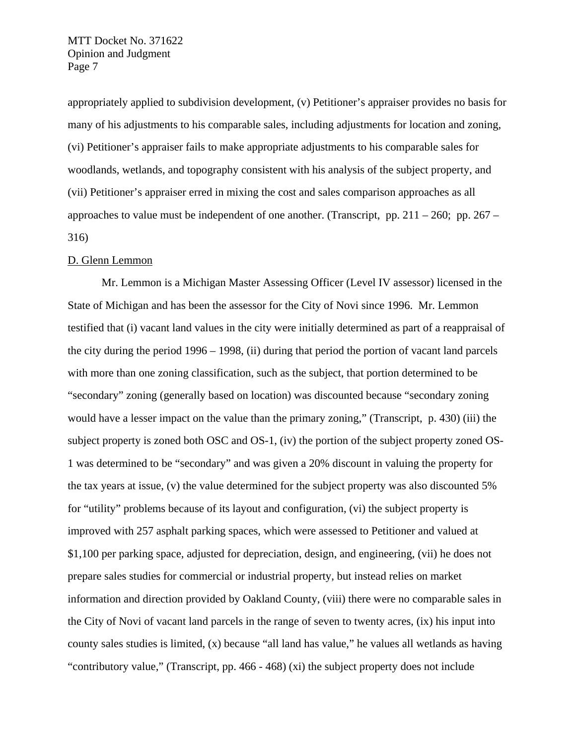appropriately applied to subdivision development, (v) Petitioner's appraiser provides no basis for many of his adjustments to his comparable sales, including adjustments for location and zoning, (vi) Petitioner's appraiser fails to make appropriate adjustments to his comparable sales for woodlands, wetlands, and topography consistent with his analysis of the subject property, and (vii) Petitioner's appraiser erred in mixing the cost and sales comparison approaches as all approaches to value must be independent of one another. (Transcript, pp.  $211 - 260$ ; pp.  $267 -$ 316)

#### D. Glenn Lemmon

Mr. Lemmon is a Michigan Master Assessing Officer (Level IV assessor) licensed in the State of Michigan and has been the assessor for the City of Novi since 1996. Mr. Lemmon testified that (i) vacant land values in the city were initially determined as part of a reappraisal of the city during the period 1996 – 1998, (ii) during that period the portion of vacant land parcels with more than one zoning classification, such as the subject, that portion determined to be "secondary" zoning (generally based on location) was discounted because "secondary zoning would have a lesser impact on the value than the primary zoning," (Transcript, p. 430) (iii) the subject property is zoned both OSC and OS-1, (iv) the portion of the subject property zoned OS-1 was determined to be "secondary" and was given a 20% discount in valuing the property for the tax years at issue, (v) the value determined for the subject property was also discounted 5% for "utility" problems because of its layout and configuration, (vi) the subject property is improved with 257 asphalt parking spaces, which were assessed to Petitioner and valued at \$1,100 per parking space, adjusted for depreciation, design, and engineering, (vii) he does not prepare sales studies for commercial or industrial property, but instead relies on market information and direction provided by Oakland County, (viii) there were no comparable sales in the City of Novi of vacant land parcels in the range of seven to twenty acres, (ix) his input into county sales studies is limited, (x) because "all land has value," he values all wetlands as having "contributory value," (Transcript, pp. 466 - 468) (xi) the subject property does not include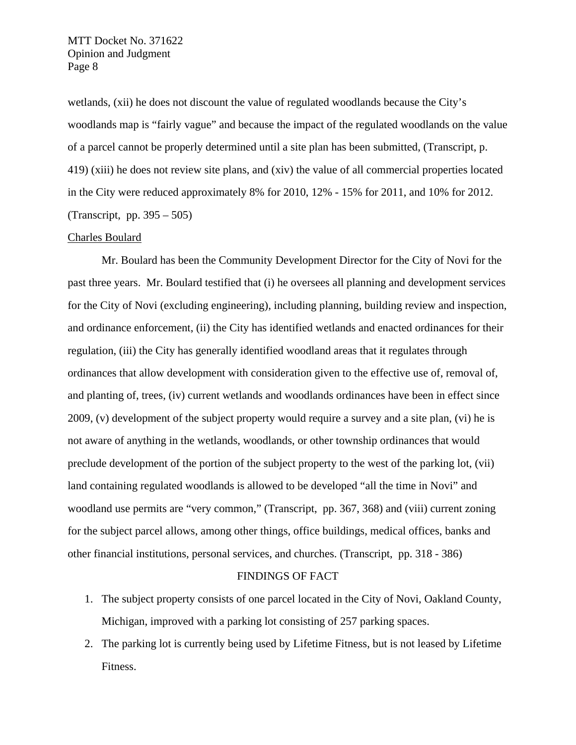wetlands, (xii) he does not discount the value of regulated woodlands because the City's woodlands map is "fairly vague" and because the impact of the regulated woodlands on the value of a parcel cannot be properly determined until a site plan has been submitted, (Transcript, p. 419) (xiii) he does not review site plans, and (xiv) the value of all commercial properties located in the City were reduced approximately 8% for 2010, 12% - 15% for 2011, and 10% for 2012. (Transcript, pp. 395 – 505)

## Charles Boulard

 Mr. Boulard has been the Community Development Director for the City of Novi for the past three years. Mr. Boulard testified that (i) he oversees all planning and development services for the City of Novi (excluding engineering), including planning, building review and inspection, and ordinance enforcement, (ii) the City has identified wetlands and enacted ordinances for their regulation, (iii) the City has generally identified woodland areas that it regulates through ordinances that allow development with consideration given to the effective use of, removal of, and planting of, trees, (iv) current wetlands and woodlands ordinances have been in effect since 2009, (v) development of the subject property would require a survey and a site plan, (vi) he is not aware of anything in the wetlands, woodlands, or other township ordinances that would preclude development of the portion of the subject property to the west of the parking lot, (vii) land containing regulated woodlands is allowed to be developed "all the time in Novi" and woodland use permits are "very common," (Transcript, pp. 367, 368) and (viii) current zoning for the subject parcel allows, among other things, office buildings, medical offices, banks and other financial institutions, personal services, and churches. (Transcript, pp. 318 - 386)

# FINDINGS OF FACT

- 1. The subject property consists of one parcel located in the City of Novi, Oakland County, Michigan, improved with a parking lot consisting of 257 parking spaces.
- 2. The parking lot is currently being used by Lifetime Fitness, but is not leased by Lifetime Fitness.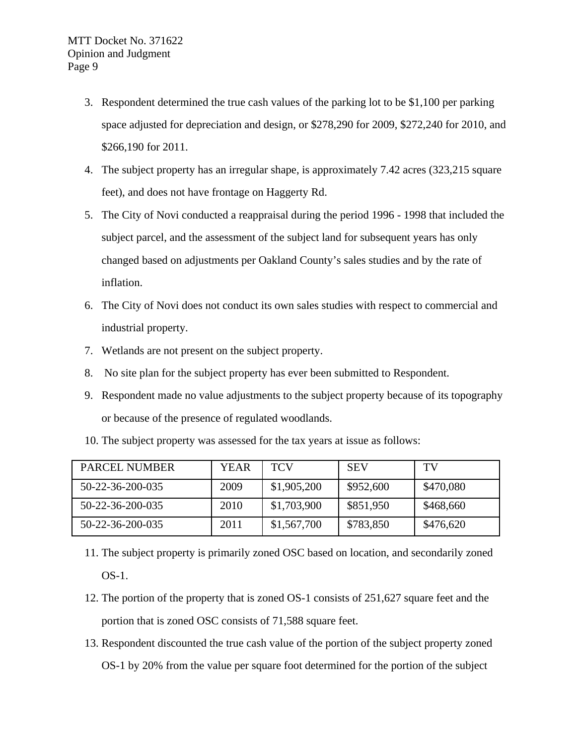- 3. Respondent determined the true cash values of the parking lot to be \$1,100 per parking space adjusted for depreciation and design, or \$278,290 for 2009, \$272,240 for 2010, and \$266,190 for 2011.
- 4. The subject property has an irregular shape, is approximately 7.42 acres (323,215 square feet), and does not have frontage on Haggerty Rd.
- 5. The City of Novi conducted a reappraisal during the period 1996 1998 that included the subject parcel, and the assessment of the subject land for subsequent years has only changed based on adjustments per Oakland County's sales studies and by the rate of inflation.
- 6. The City of Novi does not conduct its own sales studies with respect to commercial and industrial property.
- 7. Wetlands are not present on the subject property.
- 8. No site plan for the subject property has ever been submitted to Respondent.
- 9. Respondent made no value adjustments to the subject property because of its topography or because of the presence of regulated woodlands.
- 10. The subject property was assessed for the tax years at issue as follows:

| PARCEL NUMBER    | YEAR | <b>TCV</b>  | <b>SEV</b> | TV        |
|------------------|------|-------------|------------|-----------|
| 50-22-36-200-035 | 2009 | \$1,905,200 | \$952,600  | \$470,080 |
| 50-22-36-200-035 | 2010 | \$1,703,900 | \$851,950  | \$468,660 |
| 50-22-36-200-035 | 2011 | \$1,567,700 | \$783,850  | \$476,620 |

- 11. The subject property is primarily zoned OSC based on location, and secondarily zoned OS-1.
- 12. The portion of the property that is zoned OS-1 consists of 251,627 square feet and the portion that is zoned OSC consists of 71,588 square feet.
- 13. Respondent discounted the true cash value of the portion of the subject property zoned OS-1 by 20% from the value per square foot determined for the portion of the subject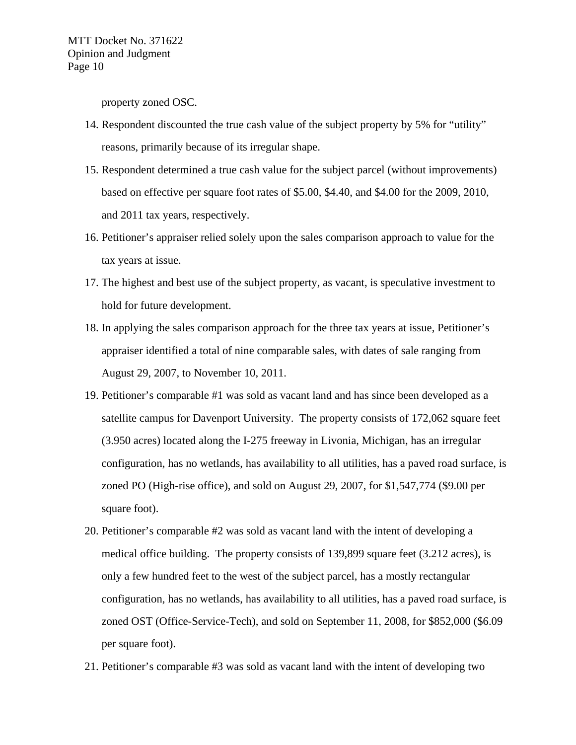property zoned OSC.

- 14. Respondent discounted the true cash value of the subject property by 5% for "utility" reasons, primarily because of its irregular shape.
- 15. Respondent determined a true cash value for the subject parcel (without improvements) based on effective per square foot rates of \$5.00, \$4.40, and \$4.00 for the 2009, 2010, and 2011 tax years, respectively.
- 16. Petitioner's appraiser relied solely upon the sales comparison approach to value for the tax years at issue.
- 17. The highest and best use of the subject property, as vacant, is speculative investment to hold for future development.
- 18. In applying the sales comparison approach for the three tax years at issue, Petitioner's appraiser identified a total of nine comparable sales, with dates of sale ranging from August 29, 2007, to November 10, 2011.
- 19. Petitioner's comparable #1 was sold as vacant land and has since been developed as a satellite campus for Davenport University. The property consists of 172,062 square feet (3.950 acres) located along the I-275 freeway in Livonia, Michigan, has an irregular configuration, has no wetlands, has availability to all utilities, has a paved road surface, is zoned PO (High-rise office), and sold on August 29, 2007, for \$1,547,774 (\$9.00 per square foot).
- 20. Petitioner's comparable #2 was sold as vacant land with the intent of developing a medical office building. The property consists of 139,899 square feet (3.212 acres), is only a few hundred feet to the west of the subject parcel, has a mostly rectangular configuration, has no wetlands, has availability to all utilities, has a paved road surface, is zoned OST (Office-Service-Tech), and sold on September 11, 2008, for \$852,000 (\$6.09 per square foot).
- 21. Petitioner's comparable #3 was sold as vacant land with the intent of developing two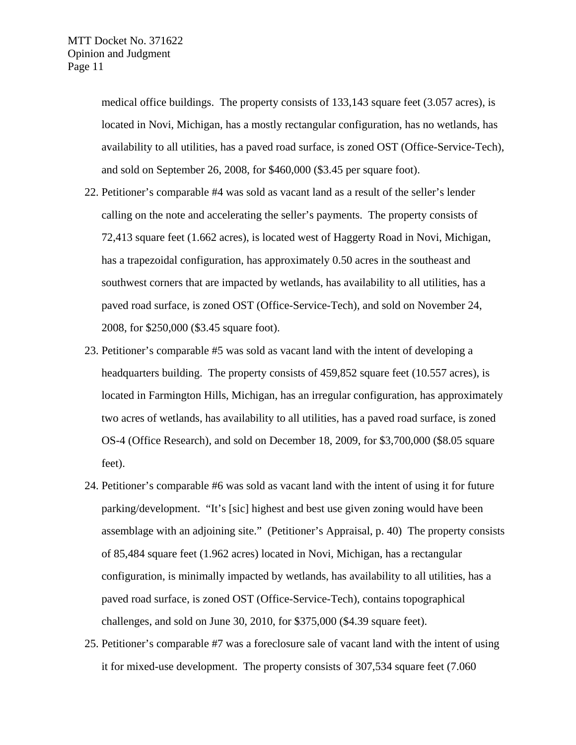medical office buildings. The property consists of 133,143 square feet (3.057 acres), is located in Novi, Michigan, has a mostly rectangular configuration, has no wetlands, has availability to all utilities, has a paved road surface, is zoned OST (Office-Service-Tech), and sold on September 26, 2008, for \$460,000 (\$3.45 per square foot).

- 22. Petitioner's comparable #4 was sold as vacant land as a result of the seller's lender calling on the note and accelerating the seller's payments. The property consists of 72,413 square feet (1.662 acres), is located west of Haggerty Road in Novi, Michigan, has a trapezoidal configuration, has approximately 0.50 acres in the southeast and southwest corners that are impacted by wetlands, has availability to all utilities, has a paved road surface, is zoned OST (Office-Service-Tech), and sold on November 24, 2008, for \$250,000 (\$3.45 square foot).
- 23. Petitioner's comparable #5 was sold as vacant land with the intent of developing a headquarters building. The property consists of 459,852 square feet (10.557 acres), is located in Farmington Hills, Michigan, has an irregular configuration, has approximately two acres of wetlands, has availability to all utilities, has a paved road surface, is zoned OS-4 (Office Research), and sold on December 18, 2009, for \$3,700,000 (\$8.05 square feet).
- 24. Petitioner's comparable #6 was sold as vacant land with the intent of using it for future parking/development. "It's [sic] highest and best use given zoning would have been assemblage with an adjoining site." (Petitioner's Appraisal, p. 40) The property consists of 85,484 square feet (1.962 acres) located in Novi, Michigan, has a rectangular configuration, is minimally impacted by wetlands, has availability to all utilities, has a paved road surface, is zoned OST (Office-Service-Tech), contains topographical challenges, and sold on June 30, 2010, for \$375,000 (\$4.39 square feet).
- 25. Petitioner's comparable #7 was a foreclosure sale of vacant land with the intent of using it for mixed-use development. The property consists of 307,534 square feet (7.060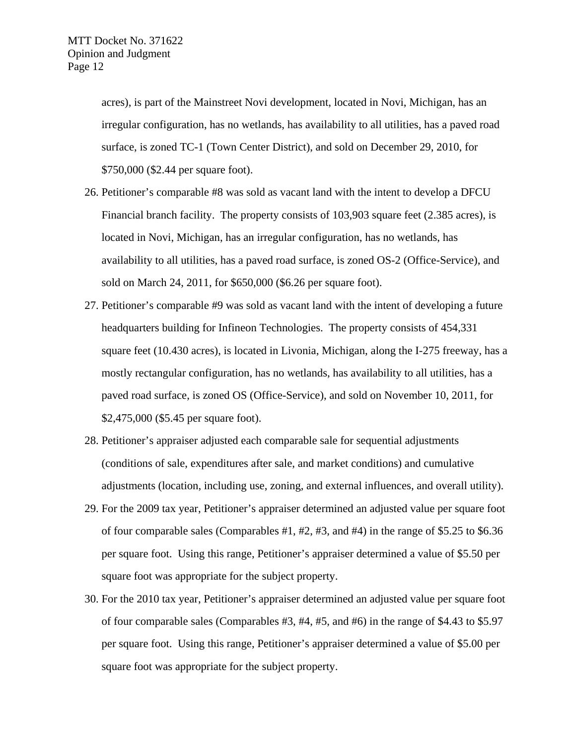acres), is part of the Mainstreet Novi development, located in Novi, Michigan, has an irregular configuration, has no wetlands, has availability to all utilities, has a paved road surface, is zoned TC-1 (Town Center District), and sold on December 29, 2010, for \$750,000 (\$2.44 per square foot).

- 26. Petitioner's comparable #8 was sold as vacant land with the intent to develop a DFCU Financial branch facility. The property consists of 103,903 square feet (2.385 acres), is located in Novi, Michigan, has an irregular configuration, has no wetlands, has availability to all utilities, has a paved road surface, is zoned OS-2 (Office-Service), and sold on March 24, 2011, for \$650,000 (\$6.26 per square foot).
- 27. Petitioner's comparable #9 was sold as vacant land with the intent of developing a future headquarters building for Infineon Technologies. The property consists of 454,331 square feet (10.430 acres), is located in Livonia, Michigan, along the I-275 freeway, has a mostly rectangular configuration, has no wetlands, has availability to all utilities, has a paved road surface, is zoned OS (Office-Service), and sold on November 10, 2011, for \$2,475,000 (\$5.45 per square foot).
- 28. Petitioner's appraiser adjusted each comparable sale for sequential adjustments (conditions of sale, expenditures after sale, and market conditions) and cumulative adjustments (location, including use, zoning, and external influences, and overall utility).
- 29. For the 2009 tax year, Petitioner's appraiser determined an adjusted value per square foot of four comparable sales (Comparables  $#1, #2, #3,$  and  $#4$ ) in the range of \$5.25 to \$6.36 per square foot. Using this range, Petitioner's appraiser determined a value of \$5.50 per square foot was appropriate for the subject property.
- 30. For the 2010 tax year, Petitioner's appraiser determined an adjusted value per square foot of four comparable sales (Comparables #3, #4, #5, and #6) in the range of \$4.43 to \$5.97 per square foot. Using this range, Petitioner's appraiser determined a value of \$5.00 per square foot was appropriate for the subject property.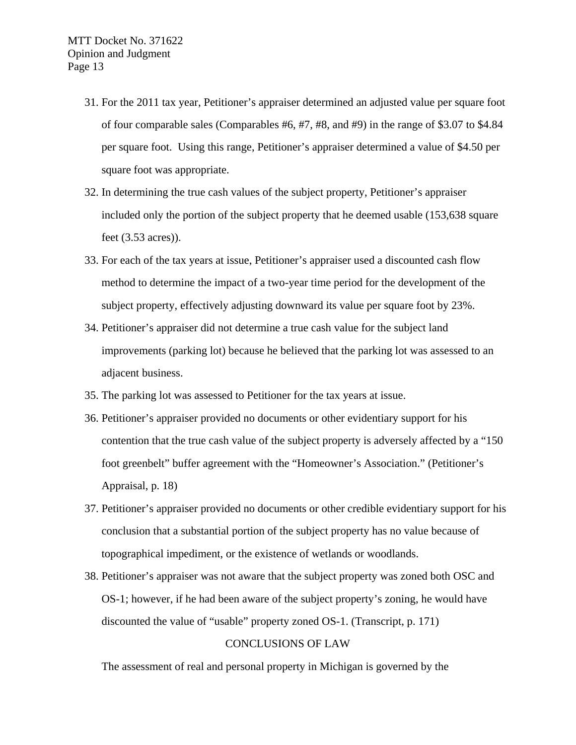- 31. For the 2011 tax year, Petitioner's appraiser determined an adjusted value per square foot of four comparable sales (Comparables #6, #7, #8, and #9) in the range of \$3.07 to \$4.84 per square foot. Using this range, Petitioner's appraiser determined a value of \$4.50 per square foot was appropriate.
- 32. In determining the true cash values of the subject property, Petitioner's appraiser included only the portion of the subject property that he deemed usable (153,638 square feet (3.53 acres)).
- 33. For each of the tax years at issue, Petitioner's appraiser used a discounted cash flow method to determine the impact of a two-year time period for the development of the subject property, effectively adjusting downward its value per square foot by 23%.
- 34. Petitioner's appraiser did not determine a true cash value for the subject land improvements (parking lot) because he believed that the parking lot was assessed to an adjacent business.
- 35. The parking lot was assessed to Petitioner for the tax years at issue.
- 36. Petitioner's appraiser provided no documents or other evidentiary support for his contention that the true cash value of the subject property is adversely affected by a "150 foot greenbelt" buffer agreement with the "Homeowner's Association." (Petitioner's Appraisal, p. 18)
- 37. Petitioner's appraiser provided no documents or other credible evidentiary support for his conclusion that a substantial portion of the subject property has no value because of topographical impediment, or the existence of wetlands or woodlands.
- 38. Petitioner's appraiser was not aware that the subject property was zoned both OSC and OS-1; however, if he had been aware of the subject property's zoning, he would have discounted the value of "usable" property zoned OS-1. (Transcript, p. 171)

# CONCLUSIONS OF LAW

The assessment of real and personal property in Michigan is governed by the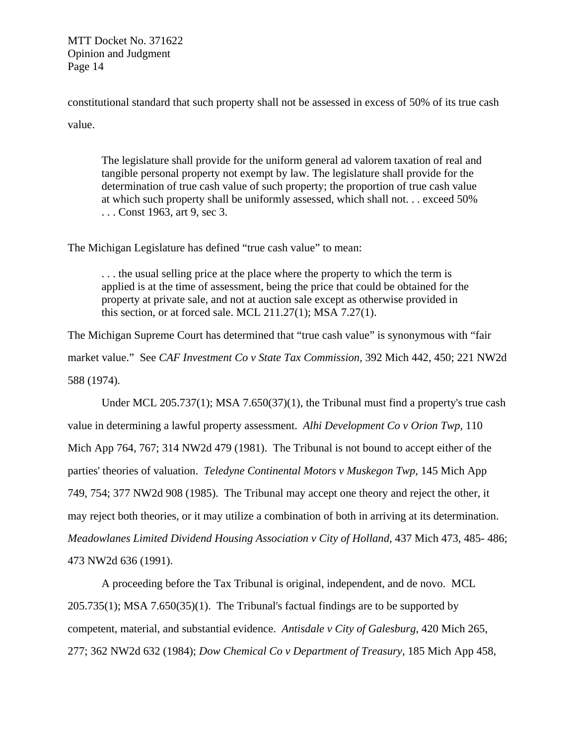constitutional standard that such property shall not be assessed in excess of 50% of its true cash value.

The legislature shall provide for the uniform general ad valorem taxation of real and tangible personal property not exempt by law. The legislature shall provide for the determination of true cash value of such property; the proportion of true cash value at which such property shall be uniformly assessed, which shall not. . . exceed 50% . . . Const 1963, art 9, sec 3.

The Michigan Legislature has defined "true cash value" to mean:

. . . the usual selling price at the place where the property to which the term is applied is at the time of assessment, being the price that could be obtained for the property at private sale, and not at auction sale except as otherwise provided in this section, or at forced sale. MCL  $211.27(1)$ ; MSA  $7.27(1)$ .

The Michigan Supreme Court has determined that "true cash value" is synonymous with "fair market value." See *CAF Investment Co v State Tax Commission,* 392 Mich 442, 450; 221 NW2d 588 (1974)*.*

Under MCL 205.737(1); MSA 7.650(37)(1), the Tribunal must find a property's true cash value in determining a lawful property assessment. *Alhi Development Co v Orion Twp,* 110 Mich App 764, 767; 314 NW2d 479 (1981). The Tribunal is not bound to accept either of the parties' theories of valuation. *Teledyne Continental Motors v Muskegon Twp,* 145 Mich App 749, 754; 377 NW2d 908 (1985). The Tribunal may accept one theory and reject the other, it may reject both theories, or it may utilize a combination of both in arriving at its determination. *Meadowlanes Limited Dividend Housing Association v City of Holland, 437 Mich 473, 485-486;* 473 NW2d 636 (1991).

A proceeding before the Tax Tribunal is original, independent, and de novo. MCL  $205.735(1)$ ; MSA 7.650(35)(1). The Tribunal's factual findings are to be supported by competent, material, and substantial evidence. *Antisdale v City of Galesburg*, 420 Mich 265, 277; 362 NW2d 632 (1984); *Dow Chemical Co v Department of Treasury*, 185 Mich App 458,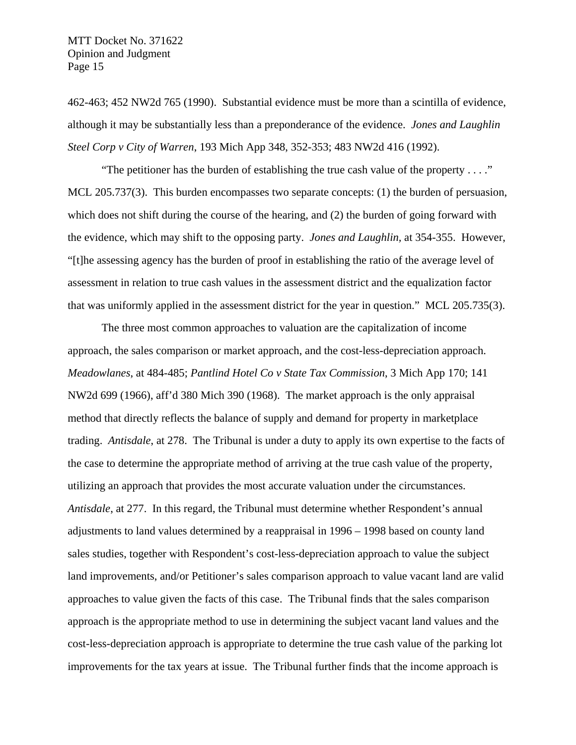462-463; 452 NW2d 765 (1990). Substantial evidence must be more than a scintilla of evidence, although it may be substantially less than a preponderance of the evidence. *Jones and Laughlin Steel Corp v City of Warren*, 193 Mich App 348, 352-353; 483 NW2d 416 (1992).

"The petitioner has the burden of establishing the true cash value of the property  $\dots$ ." MCL 205.737(3). This burden encompasses two separate concepts: (1) the burden of persuasion, which does not shift during the course of the hearing, and (2) the burden of going forward with the evidence, which may shift to the opposing party. *Jones and Laughlin,* at 354-355. However, "[t]he assessing agency has the burden of proof in establishing the ratio of the average level of assessment in relation to true cash values in the assessment district and the equalization factor that was uniformly applied in the assessment district for the year in question." MCL 205.735(3).

The three most common approaches to valuation are the capitalization of income approach, the sales comparison or market approach, and the cost-less-depreciation approach. *Meadowlanes*, at 484-485; *Pantlind Hotel Co v State Tax Commission*, 3 Mich App 170; 141 NW2d 699 (1966), aff'd 380 Mich 390 (1968). The market approach is the only appraisal method that directly reflects the balance of supply and demand for property in marketplace trading. *Antisdale*, at 278. The Tribunal is under a duty to apply its own expertise to the facts of the case to determine the appropriate method of arriving at the true cash value of the property, utilizing an approach that provides the most accurate valuation under the circumstances. *Antisdale*, at 277. In this regard, the Tribunal must determine whether Respondent's annual adjustments to land values determined by a reappraisal in 1996 – 1998 based on county land sales studies, together with Respondent's cost-less-depreciation approach to value the subject land improvements, and/or Petitioner's sales comparison approach to value vacant land are valid approaches to value given the facts of this case. The Tribunal finds that the sales comparison approach is the appropriate method to use in determining the subject vacant land values and the cost-less-depreciation approach is appropriate to determine the true cash value of the parking lot improvements for the tax years at issue. The Tribunal further finds that the income approach is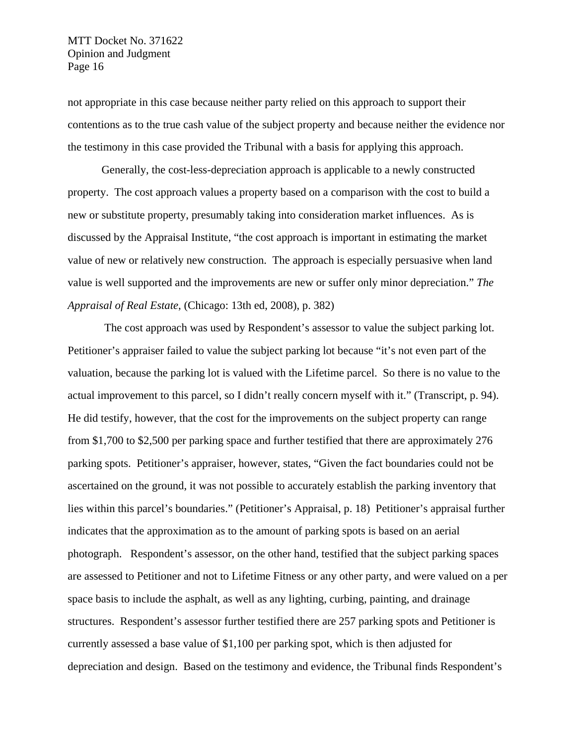not appropriate in this case because neither party relied on this approach to support their contentions as to the true cash value of the subject property and because neither the evidence nor the testimony in this case provided the Tribunal with a basis for applying this approach.

Generally, the cost-less-depreciation approach is applicable to a newly constructed property. The cost approach values a property based on a comparison with the cost to build a new or substitute property, presumably taking into consideration market influences. As is discussed by the Appraisal Institute, "the cost approach is important in estimating the market value of new or relatively new construction. The approach is especially persuasive when land value is well supported and the improvements are new or suffer only minor depreciation." *The Appraisal of Real Estate*, (Chicago: 13th ed, 2008), p. 382)

 The cost approach was used by Respondent's assessor to value the subject parking lot. Petitioner's appraiser failed to value the subject parking lot because "it's not even part of the valuation, because the parking lot is valued with the Lifetime parcel. So there is no value to the actual improvement to this parcel, so I didn't really concern myself with it." (Transcript, p. 94). He did testify, however, that the cost for the improvements on the subject property can range from \$1,700 to \$2,500 per parking space and further testified that there are approximately 276 parking spots. Petitioner's appraiser, however, states, "Given the fact boundaries could not be ascertained on the ground, it was not possible to accurately establish the parking inventory that lies within this parcel's boundaries." (Petitioner's Appraisal, p. 18) Petitioner's appraisal further indicates that the approximation as to the amount of parking spots is based on an aerial photograph. Respondent's assessor, on the other hand, testified that the subject parking spaces are assessed to Petitioner and not to Lifetime Fitness or any other party, and were valued on a per space basis to include the asphalt, as well as any lighting, curbing, painting, and drainage structures. Respondent's assessor further testified there are 257 parking spots and Petitioner is currently assessed a base value of \$1,100 per parking spot, which is then adjusted for depreciation and design. Based on the testimony and evidence, the Tribunal finds Respondent's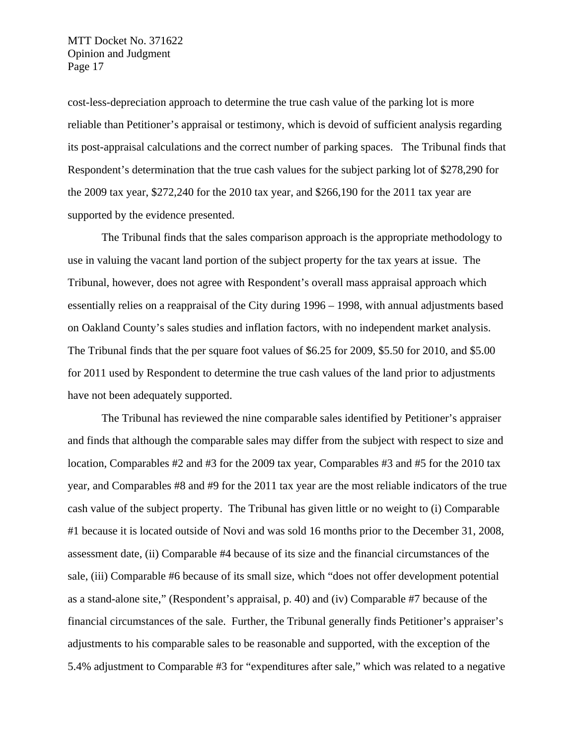cost-less-depreciation approach to determine the true cash value of the parking lot is more reliable than Petitioner's appraisal or testimony, which is devoid of sufficient analysis regarding its post-appraisal calculations and the correct number of parking spaces. The Tribunal finds that Respondent's determination that the true cash values for the subject parking lot of \$278,290 for the 2009 tax year, \$272,240 for the 2010 tax year, and \$266,190 for the 2011 tax year are supported by the evidence presented.

The Tribunal finds that the sales comparison approach is the appropriate methodology to use in valuing the vacant land portion of the subject property for the tax years at issue. The Tribunal, however, does not agree with Respondent's overall mass appraisal approach which essentially relies on a reappraisal of the City during 1996 – 1998, with annual adjustments based on Oakland County's sales studies and inflation factors, with no independent market analysis. The Tribunal finds that the per square foot values of \$6.25 for 2009, \$5.50 for 2010, and \$5.00 for 2011 used by Respondent to determine the true cash values of the land prior to adjustments have not been adequately supported.

The Tribunal has reviewed the nine comparable sales identified by Petitioner's appraiser and finds that although the comparable sales may differ from the subject with respect to size and location, Comparables #2 and #3 for the 2009 tax year, Comparables #3 and #5 for the 2010 tax year, and Comparables #8 and #9 for the 2011 tax year are the most reliable indicators of the true cash value of the subject property. The Tribunal has given little or no weight to (i) Comparable #1 because it is located outside of Novi and was sold 16 months prior to the December 31, 2008, assessment date, (ii) Comparable #4 because of its size and the financial circumstances of the sale, (iii) Comparable #6 because of its small size, which "does not offer development potential as a stand-alone site," (Respondent's appraisal, p. 40) and (iv) Comparable #7 because of the financial circumstances of the sale. Further, the Tribunal generally finds Petitioner's appraiser's adjustments to his comparable sales to be reasonable and supported, with the exception of the 5.4% adjustment to Comparable #3 for "expenditures after sale," which was related to a negative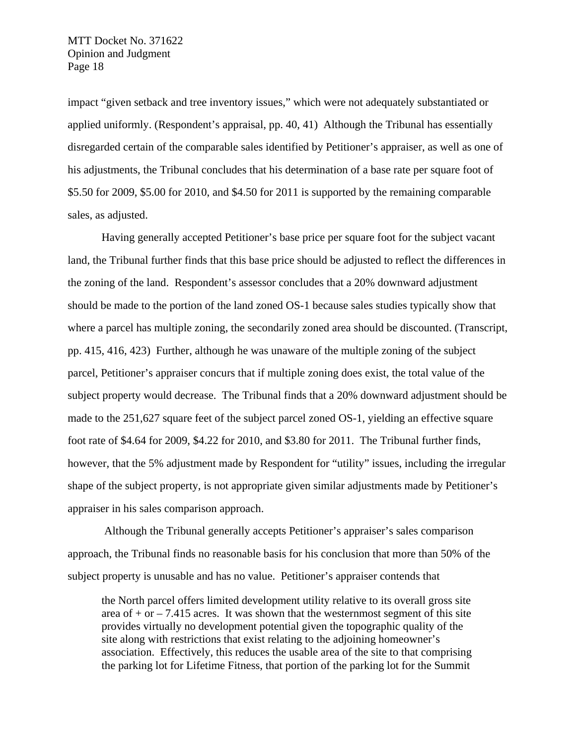impact "given setback and tree inventory issues," which were not adequately substantiated or applied uniformly. (Respondent's appraisal, pp. 40, 41) Although the Tribunal has essentially disregarded certain of the comparable sales identified by Petitioner's appraiser, as well as one of his adjustments, the Tribunal concludes that his determination of a base rate per square foot of \$5.50 for 2009, \$5.00 for 2010, and \$4.50 for 2011 is supported by the remaining comparable sales, as adjusted.

Having generally accepted Petitioner's base price per square foot for the subject vacant land, the Tribunal further finds that this base price should be adjusted to reflect the differences in the zoning of the land. Respondent's assessor concludes that a 20% downward adjustment should be made to the portion of the land zoned OS-1 because sales studies typically show that where a parcel has multiple zoning, the secondarily zoned area should be discounted. (Transcript, pp. 415, 416, 423) Further, although he was unaware of the multiple zoning of the subject parcel, Petitioner's appraiser concurs that if multiple zoning does exist, the total value of the subject property would decrease. The Tribunal finds that a 20% downward adjustment should be made to the 251,627 square feet of the subject parcel zoned OS-1, yielding an effective square foot rate of \$4.64 for 2009, \$4.22 for 2010, and \$3.80 for 2011. The Tribunal further finds, however, that the 5% adjustment made by Respondent for "utility" issues, including the irregular shape of the subject property, is not appropriate given similar adjustments made by Petitioner's appraiser in his sales comparison approach.

 Although the Tribunal generally accepts Petitioner's appraiser's sales comparison approach, the Tribunal finds no reasonable basis for his conclusion that more than 50% of the subject property is unusable and has no value. Petitioner's appraiser contends that

the North parcel offers limited development utility relative to its overall gross site area of  $+$  or  $-$  7.415 acres. It was shown that the westernmost segment of this site provides virtually no development potential given the topographic quality of the site along with restrictions that exist relating to the adjoining homeowner's association. Effectively, this reduces the usable area of the site to that comprising the parking lot for Lifetime Fitness, that portion of the parking lot for the Summit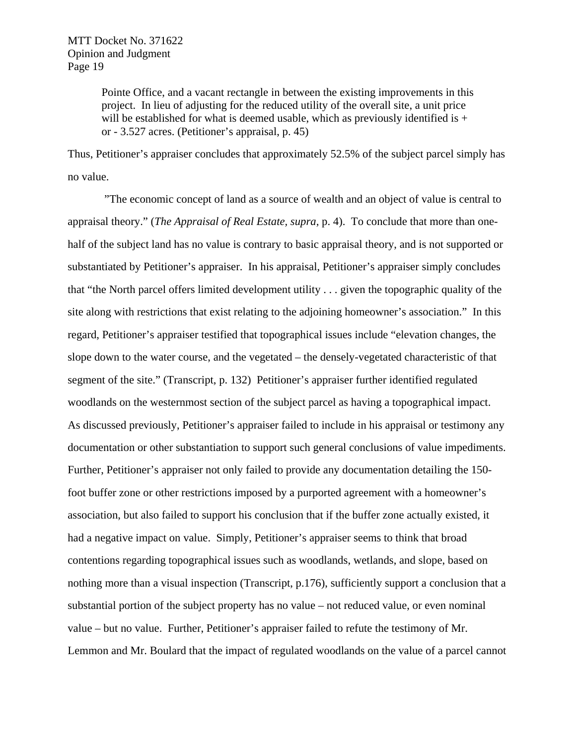Pointe Office, and a vacant rectangle in between the existing improvements in this project. In lieu of adjusting for the reduced utility of the overall site, a unit price will be established for what is deemed usable, which as previously identified is  $+$ or - 3.527 acres. (Petitioner's appraisal, p. 45)

Thus, Petitioner's appraiser concludes that approximately 52.5% of the subject parcel simply has no value.

 "The economic concept of land as a source of wealth and an object of value is central to appraisal theory." (*The Appraisal of Real Estate, supra,* p. 4). To conclude that more than onehalf of the subject land has no value is contrary to basic appraisal theory, and is not supported or substantiated by Petitioner's appraiser. In his appraisal, Petitioner's appraiser simply concludes that "the North parcel offers limited development utility . . . given the topographic quality of the site along with restrictions that exist relating to the adjoining homeowner's association." In this regard, Petitioner's appraiser testified that topographical issues include "elevation changes, the slope down to the water course, and the vegetated – the densely-vegetated characteristic of that segment of the site." (Transcript, p. 132) Petitioner's appraiser further identified regulated woodlands on the westernmost section of the subject parcel as having a topographical impact. As discussed previously, Petitioner's appraiser failed to include in his appraisal or testimony any documentation or other substantiation to support such general conclusions of value impediments. Further, Petitioner's appraiser not only failed to provide any documentation detailing the 150 foot buffer zone or other restrictions imposed by a purported agreement with a homeowner's association, but also failed to support his conclusion that if the buffer zone actually existed, it had a negative impact on value. Simply, Petitioner's appraiser seems to think that broad contentions regarding topographical issues such as woodlands, wetlands, and slope, based on nothing more than a visual inspection (Transcript, p.176), sufficiently support a conclusion that a substantial portion of the subject property has no value – not reduced value, or even nominal value – but no value. Further, Petitioner's appraiser failed to refute the testimony of Mr. Lemmon and Mr. Boulard that the impact of regulated woodlands on the value of a parcel cannot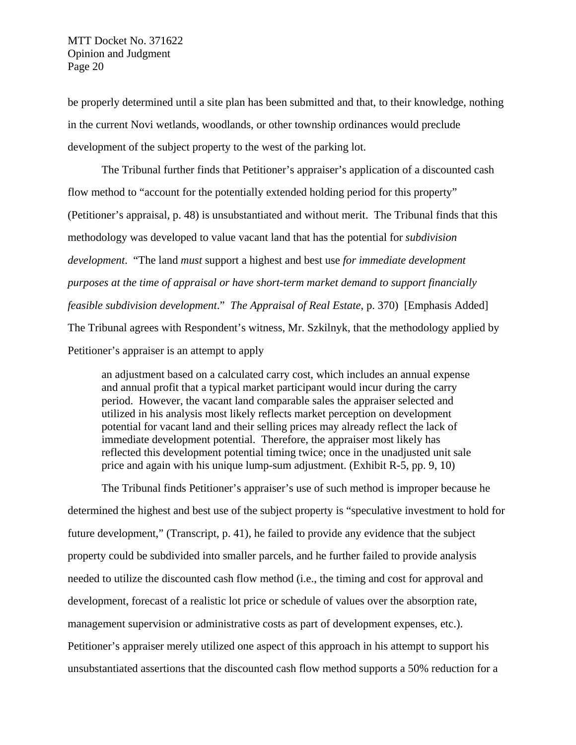be properly determined until a site plan has been submitted and that, to their knowledge, nothing in the current Novi wetlands, woodlands, or other township ordinances would preclude development of the subject property to the west of the parking lot.

The Tribunal further finds that Petitioner's appraiser's application of a discounted cash flow method to "account for the potentially extended holding period for this property" (Petitioner's appraisal, p. 48) is unsubstantiated and without merit. The Tribunal finds that this methodology was developed to value vacant land that has the potential for *subdivision development*. "The land *must* support a highest and best use *for immediate development purposes at the time of appraisal or have short-term market demand to support financially feasible subdivision development*." *The Appraisal of Real Estate*, p. 370) [Emphasis Added] The Tribunal agrees with Respondent's witness, Mr. Szkilnyk, that the methodology applied by Petitioner's appraiser is an attempt to apply

an adjustment based on a calculated carry cost, which includes an annual expense and annual profit that a typical market participant would incur during the carry period. However, the vacant land comparable sales the appraiser selected and utilized in his analysis most likely reflects market perception on development potential for vacant land and their selling prices may already reflect the lack of immediate development potential. Therefore, the appraiser most likely has reflected this development potential timing twice; once in the unadjusted unit sale price and again with his unique lump-sum adjustment. (Exhibit R-5, pp. 9, 10)

The Tribunal finds Petitioner's appraiser's use of such method is improper because he determined the highest and best use of the subject property is "speculative investment to hold for future development," (Transcript, p. 41), he failed to provide any evidence that the subject property could be subdivided into smaller parcels, and he further failed to provide analysis needed to utilize the discounted cash flow method (i.e., the timing and cost for approval and development, forecast of a realistic lot price or schedule of values over the absorption rate, management supervision or administrative costs as part of development expenses, etc.). Petitioner's appraiser merely utilized one aspect of this approach in his attempt to support his unsubstantiated assertions that the discounted cash flow method supports a 50% reduction for a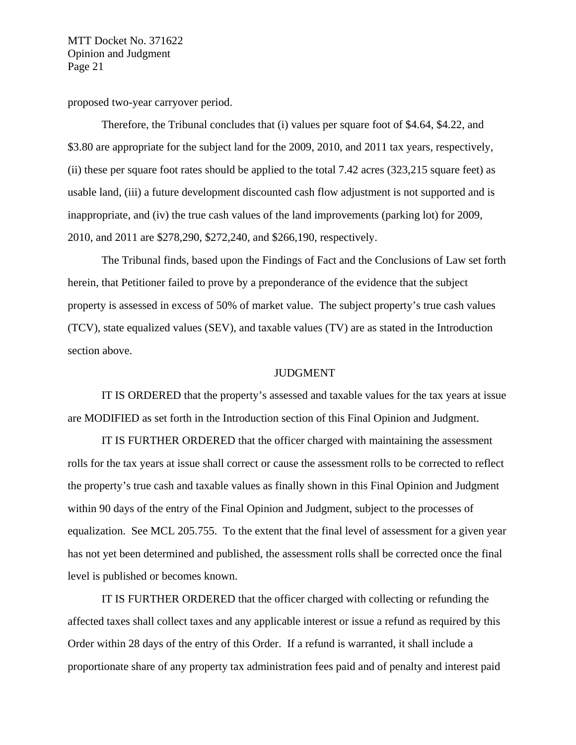proposed two-year carryover period.

Therefore, the Tribunal concludes that (i) values per square foot of \$4.64, \$4.22, and \$3.80 are appropriate for the subject land for the 2009, 2010, and 2011 tax years, respectively, (ii) these per square foot rates should be applied to the total 7.42 acres (323,215 square feet) as usable land, (iii) a future development discounted cash flow adjustment is not supported and is inappropriate, and (iv) the true cash values of the land improvements (parking lot) for 2009, 2010, and 2011 are \$278,290, \$272,240, and \$266,190, respectively.

The Tribunal finds, based upon the Findings of Fact and the Conclusions of Law set forth herein, that Petitioner failed to prove by a preponderance of the evidence that the subject property is assessed in excess of 50% of market value. The subject property's true cash values (TCV), state equalized values (SEV), and taxable values (TV) are as stated in the Introduction section above.

## JUDGMENT

IT IS ORDERED that the property's assessed and taxable values for the tax years at issue are MODIFIED as set forth in the Introduction section of this Final Opinion and Judgment.

IT IS FURTHER ORDERED that the officer charged with maintaining the assessment rolls for the tax years at issue shall correct or cause the assessment rolls to be corrected to reflect the property's true cash and taxable values as finally shown in this Final Opinion and Judgment within 90 days of the entry of the Final Opinion and Judgment, subject to the processes of equalization. See MCL 205.755. To the extent that the final level of assessment for a given year has not yet been determined and published, the assessment rolls shall be corrected once the final level is published or becomes known.

IT IS FURTHER ORDERED that the officer charged with collecting or refunding the affected taxes shall collect taxes and any applicable interest or issue a refund as required by this Order within 28 days of the entry of this Order. If a refund is warranted, it shall include a proportionate share of any property tax administration fees paid and of penalty and interest paid